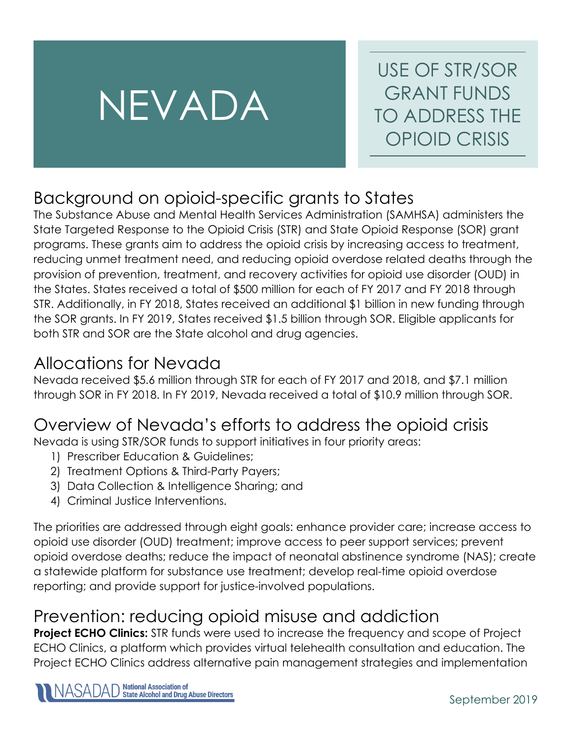# NEVADA

USE OF STR/SOR GRANT FUNDS TO ADDRESS THE OPIOID CRISIS

# Background on opioid-specific grants to States

The Substance Abuse and Mental Health Services Administration (SAMHSA) administers the State Targeted Response to the Opioid Crisis (STR) and State Opioid Response (SOR) grant programs. These grants aim to address the opioid crisis by increasing access to treatment, reducing unmet treatment need, and reducing opioid overdose related deaths through the provision of prevention, treatment, and recovery activities for opioid use disorder (OUD) in the States. States received a total of \$500 million for each of FY 2017 and FY 2018 through STR. Additionally, in FY 2018, States received an additional \$1 billion in new funding through the SOR grants. In FY 2019, States received \$1.5 billion through SOR. Eligible applicants for both STR and SOR are the State alcohol and drug agencies.

## Allocations for Nevada

Nevada received \$5.6 million through STR for each of FY 2017 and 2018, and \$7.1 million through SOR in FY 2018. In FY 2019, Nevada received a total of \$10.9 million through SOR.

# Overview of Nevada's efforts to address the opioid crisis

Nevada is using STR/SOR funds to support initiatives in four priority areas:

- 1) Prescriber Education & Guidelines;
- 2) Treatment Options & Third-Party Payers;
- 3) Data Collection & Intelligence Sharing; and
- 4) Criminal Justice Interventions.

The priorities are addressed through eight goals: enhance provider care; increase access to opioid use disorder (OUD) treatment; improve access to peer support services; prevent opioid overdose deaths; reduce the impact of neonatal abstinence syndrome (NAS); create a statewide platform for substance use treatment; develop real-time opioid overdose reporting; and provide support for justice-involved populations.

## Prevention: reducing opioid misuse and addiction

**Project ECHO Clinics:** STR funds were used to increase the frequency and scope of Project ECHO Clinics, a platform which provides virtual telehealth consultation and education. The Project ECHO Clinics address alternative pain management strategies and implementation

**National Association of<br>State Alcohol and Drug Abuse Directors**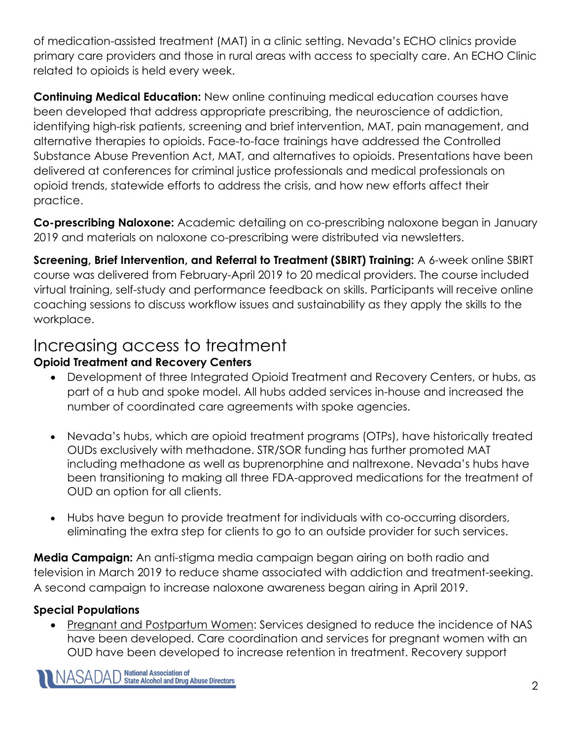of medication-assisted treatment (MAT) in a clinic setting. Nevada's ECHO clinics provide primary care providers and those in rural areas with access to specialty care. An ECHO Clinic related to opioids is held every week.

**Continuing Medical Education:** New online continuing medical education courses have been developed that address appropriate prescribing, the neuroscience of addiction, identifying high-risk patients, screening and brief intervention, MAT, pain management, and alternative therapies to opioids. Face-to-face trainings have addressed the Controlled Substance Abuse Prevention Act, MAT, and alternatives to opioids. Presentations have been delivered at conferences for criminal justice professionals and medical professionals on opioid trends, statewide efforts to address the crisis, and how new efforts affect their practice.

**Co-prescribing Naloxone:** Academic detailing on co-prescribing naloxone began in January 2019 and materials on naloxone co-prescribing were distributed via newsletters.

**Screening, Brief Intervention, and Referral to Treatment (SBIRT) Training:** A 6-week online SBIRT course was delivered from February-April 2019 to 20 medical providers. The course included virtual training, self-study and performance feedback on skills. Participants will receive online coaching sessions to discuss workflow issues and sustainability as they apply the skills to the workplace.

## Increasing access to treatment

#### **Opioid Treatment and Recovery Centers**

- Development of three Integrated Opioid Treatment and Recovery Centers, or hubs, as part of a hub and spoke model. All hubs added services in-house and increased the number of coordinated care agreements with spoke agencies.
- Nevada's hubs, which are opioid treatment programs (OTPs), have historically treated OUDs exclusively with methadone. STR/SOR funding has further promoted MAT including methadone as well as buprenorphine and naltrexone. Nevada's hubs have been transitioning to making all three FDA-approved medications for the treatment of OUD an option for all clients.
- Hubs have begun to provide treatment for individuals with co-occurring disorders, eliminating the extra step for clients to go to an outside provider for such services.

**Media Campaign:** An anti-stigma media campaign began airing on both radio and television in March 2019 to reduce shame associated with addiction and treatment-seeking. A second campaign to increase naloxone awareness began airing in April 2019.

#### **Special Populations**

• Pregnant and Postpartum Women: Services designed to reduce the incidence of NAS have been developed. Care coordination and services for pregnant women with an OUD have been developed to increase retention in treatment. Recovery support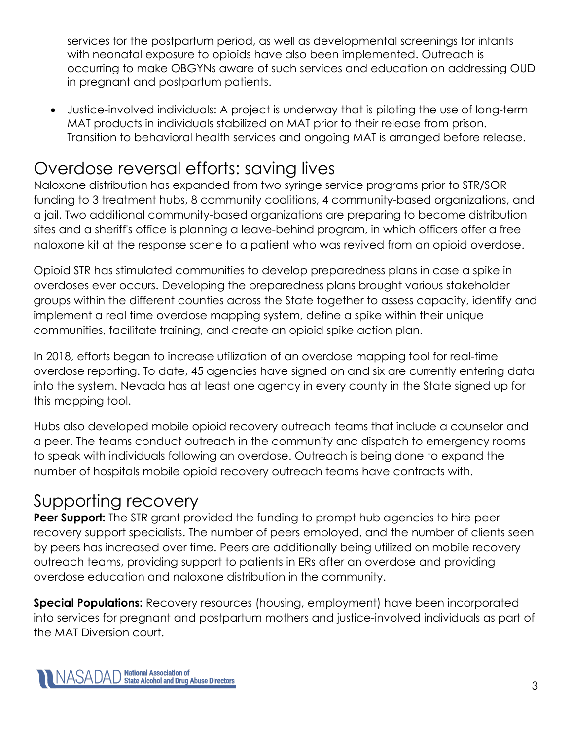services for the postpartum period, as well as developmental screenings for infants with neonatal exposure to opioids have also been implemented. Outreach is occurring to make OBGYNs aware of such services and education on addressing OUD in pregnant and postpartum patients.

• Justice-involved individuals: A project is underway that is piloting the use of long-term MAT products in individuals stabilized on MAT prior to their release from prison. Transition to behavioral health services and ongoing MAT is arranged before release.

## Overdose reversal efforts: saving lives

Naloxone distribution has expanded from two syringe service programs prior to STR/SOR funding to 3 treatment hubs, 8 community coalitions, 4 community-based organizations, and a jail. Two additional community-based organizations are preparing to become distribution sites and a sheriff's office is planning a leave-behind program, in which officers offer a free naloxone kit at the response scene to a patient who was revived from an opioid overdose.

Opioid STR has stimulated communities to develop preparedness plans in case a spike in overdoses ever occurs. Developing the preparedness plans brought various stakeholder groups within the different counties across the State together to assess capacity, identify and implement a real time overdose mapping system, define a spike within their unique communities, facilitate training, and create an opioid spike action plan.

In 2018, efforts began to increase utilization of an overdose mapping tool for real-time overdose reporting. To date, 45 agencies have signed on and six are currently entering data into the system. Nevada has at least one agency in every county in the State signed up for this mapping tool.

Hubs also developed mobile opioid recovery outreach teams that include a counselor and a peer. The teams conduct outreach in the community and dispatch to emergency rooms to speak with individuals following an overdose. Outreach is being done to expand the number of hospitals mobile opioid recovery outreach teams have contracts with.

### Supporting recovery

**Peer Support:** The STR grant provided the funding to prompt hub agencies to hire peer recovery support specialists. The number of peers employed, and the number of clients seen by peers has increased over time. Peers are additionally being utilized on mobile recovery outreach teams, providing support to patients in ERs after an overdose and providing overdose education and naloxone distribution in the community.

**Special Populations:** Recovery resources (housing, employment) have been incorporated into services for pregnant and postpartum mothers and justice-involved individuals as part of the MAT Diversion court.